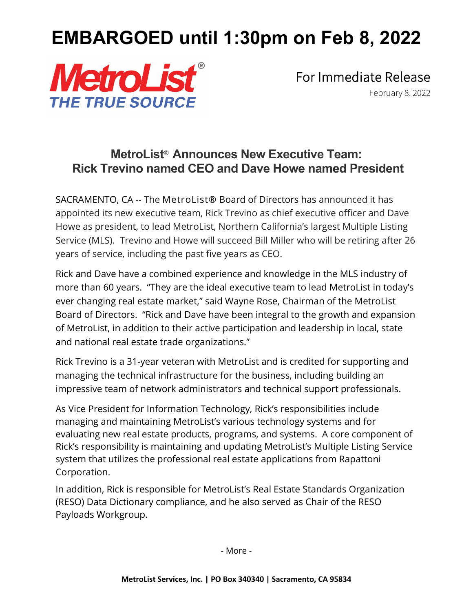## **EMBARGOED until 1:30pm on Feb 8, 2022**



For Immediate Release<br>February 8, 2022

## **MetroList**® **Announces New Executive Team: Rick Trevino named CEO and Dave Howe named President**

SACRAMENTO, CA -- The MetroList® Board of Directors has announced it has appointed its new executive team, Rick Trevino as chief executive officer and Dave Howe as president, to lead MetroList, Northern California's largest Multiple Listing Service (MLS). Trevino and Howe will succeed Bill Miller who will be retiring after 26 years of service, including the past five years as CEO.

Rick and Dave have a combined experience and knowledge in the MLS industry of more than 60 years. "They are the ideal executive team to lead MetroList in today's ever changing real estate market," said Wayne Rose, Chairman of the MetroList Board of Directors. "Rick and Dave have been integral to the growth and expansion of MetroList, in addition to their active participation and leadership in local, state and national real estate trade organizations."

Rick Trevino is a 31-year veteran with MetroList and is credited for supporting and managing the technical infrastructure for the business, including building an impressive team of network administrators and technical support professionals.

As Vice President for Information Technology, Rick's responsibilities include managing and maintaining MetroList's various technology systems and for evaluating new real estate products, programs, and systems. A core component of Rick's responsibility is maintaining and updating MetroList's Multiple Listing Service system that utilizes the professional real estate applications from Rapattoni Corporation.

In addition, Rick is responsible for MetroList's Real Estate Standards Organization (RESO) Data Dictionary compliance, and he also served as Chair of the RESO Payloads Workgroup.

- More -